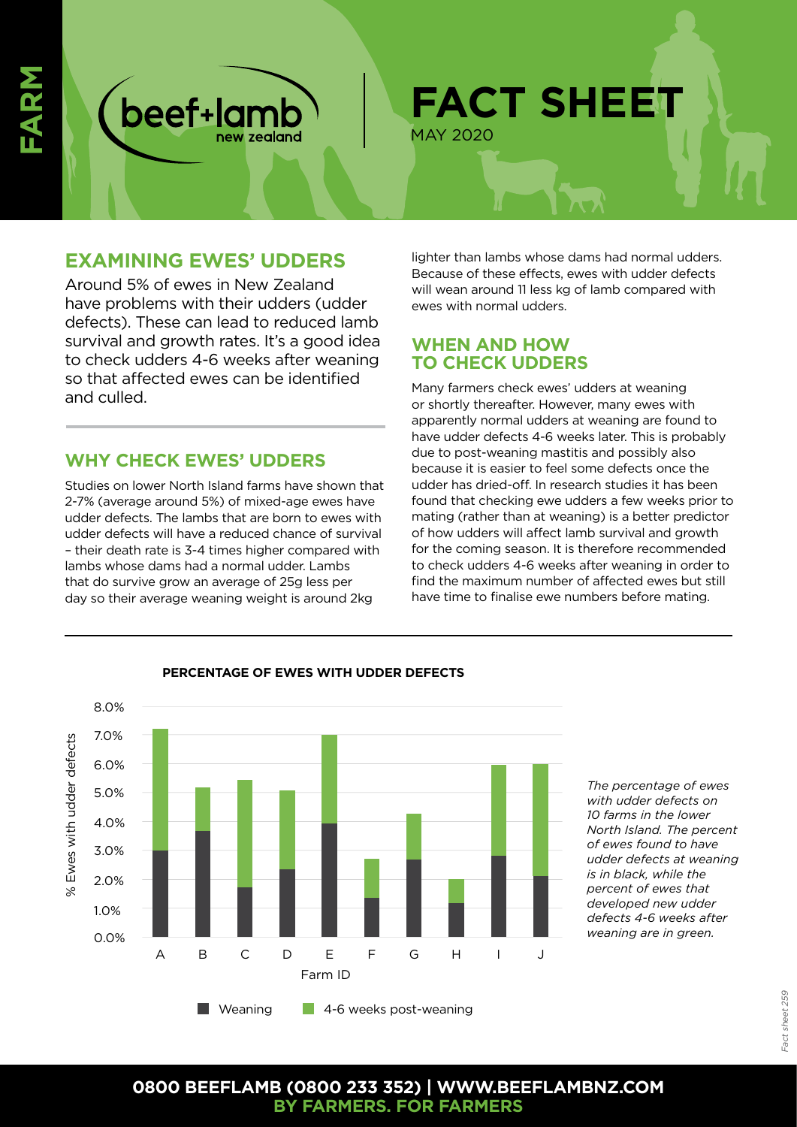

# **EXAMINING EWES' UDDERS**

beef+lam

Around 5% of ewes in New Zealand have problems with their udders (udder defects). These can lead to reduced lamb survival and growth rates. It's a good idea to check udders 4-6 weeks after weaning so that affected ewes can be identified and culled.

# **WHY CHECK EWES' UDDERS**

Studies on lower North Island farms have shown that 2-7% (average around 5%) of mixed-age ewes have udder defects. The lambs that are born to ewes with udder defects will have a reduced chance of survival – their death rate is 3-4 times higher compared with lambs whose dams had a normal udder. Lambs that do survive grow an average of 25g less per day so their average weaning weight is around 2kg

lighter than lambs whose dams had normal udders. Because of these effects, ewes with udder defects will wean around 11 less kg of lamb compared with ewes with normal udders.

## **WHEN AND HOW TO CHECK UDDERS**

Many farmers check ewes' udders at weaning or shortly thereafter. However, many ewes with apparently normal udders at weaning are found to have udder defects 4-6 weeks later. This is probably due to post-weaning mastitis and possibly also because it is easier to feel some defects once the udder has dried-off. In research studies it has been found that checking ewe udders a few weeks prior to mating (rather than at weaning) is a better predictor of how udders will affect lamb survival and growth for the coming season. It is therefore recommended to check udders 4-6 weeks after weaning in order to find the maximum number of affected ewes but still have time to finalise ewe numbers before mating.



### **PERCENTAGE OF EWES WITH UDDER DEFECTS**

*The percentage of ewes with udder defects on 10 farms in the lower North Island. The percent of ewes found to have udder defects at weaning is in black, while the percent of ewes that developed new udder defects 4-6 weeks after weaning are in green.*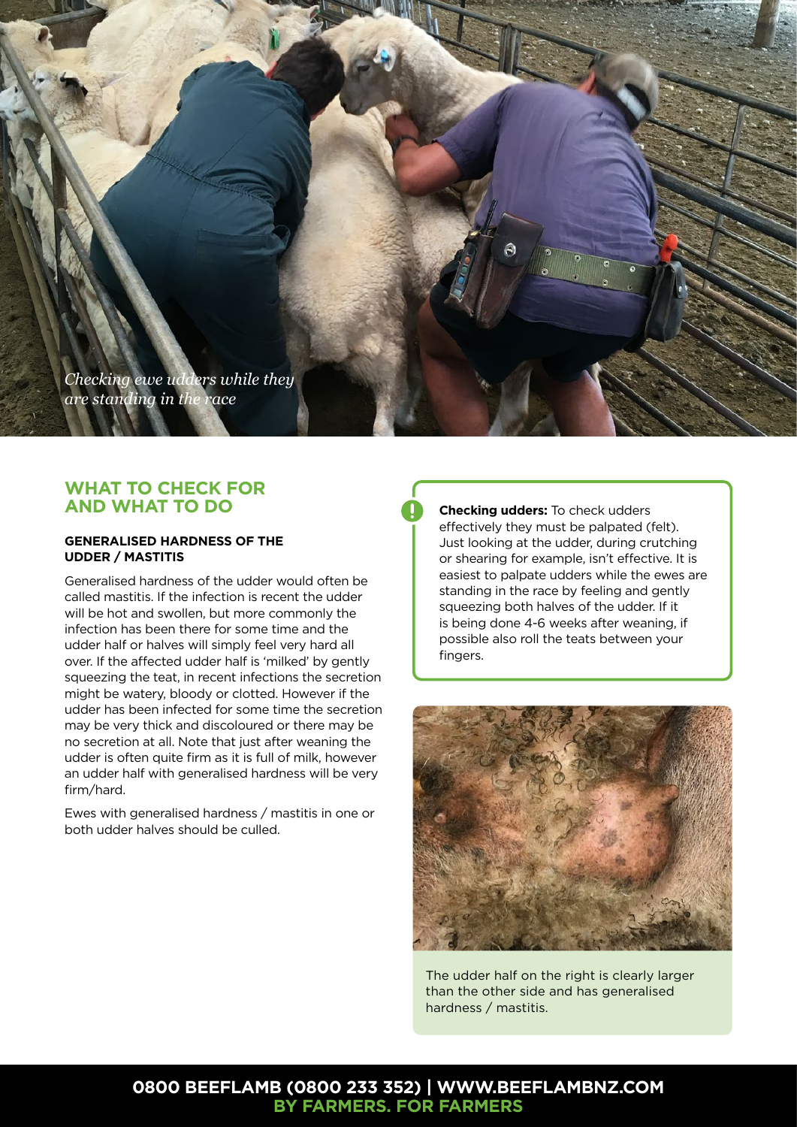

## **WHAT TO CHECK FOR AND WHAT TO DO**

### **GENERALISED HARDNESS OF THE UDDER / MASTITIS**

Generalised hardness of the udder would often be called mastitis. If the infection is recent the udder will be hot and swollen, but more commonly the infection has been there for some time and the udder half or halves will simply feel very hard all over. If the affected udder half is 'milked' by gently squeezing the teat, in recent infections the secretion might be watery, bloody or clotted. However if the udder has been infected for some time the secretion may be very thick and discoloured or there may be no secretion at all. Note that just after weaning the udder is often quite firm as it is full of milk, however an udder half with generalised hardness will be very firm/hard.

Ewes with generalised hardness / mastitis in one or both udder halves should be culled.

**Checking udders:** To check udders effectively they must be palpated (felt). Just looking at the udder, during crutching or shearing for example, isn't effective. It is easiest to palpate udders while the ewes are standing in the race by feeling and gently squeezing both halves of the udder. If it is being done 4-6 weeks after weaning, if possible also roll the teats between your fingers.



The udder half on the right is clearly larger than the other side and has generalised hardness / mastitis.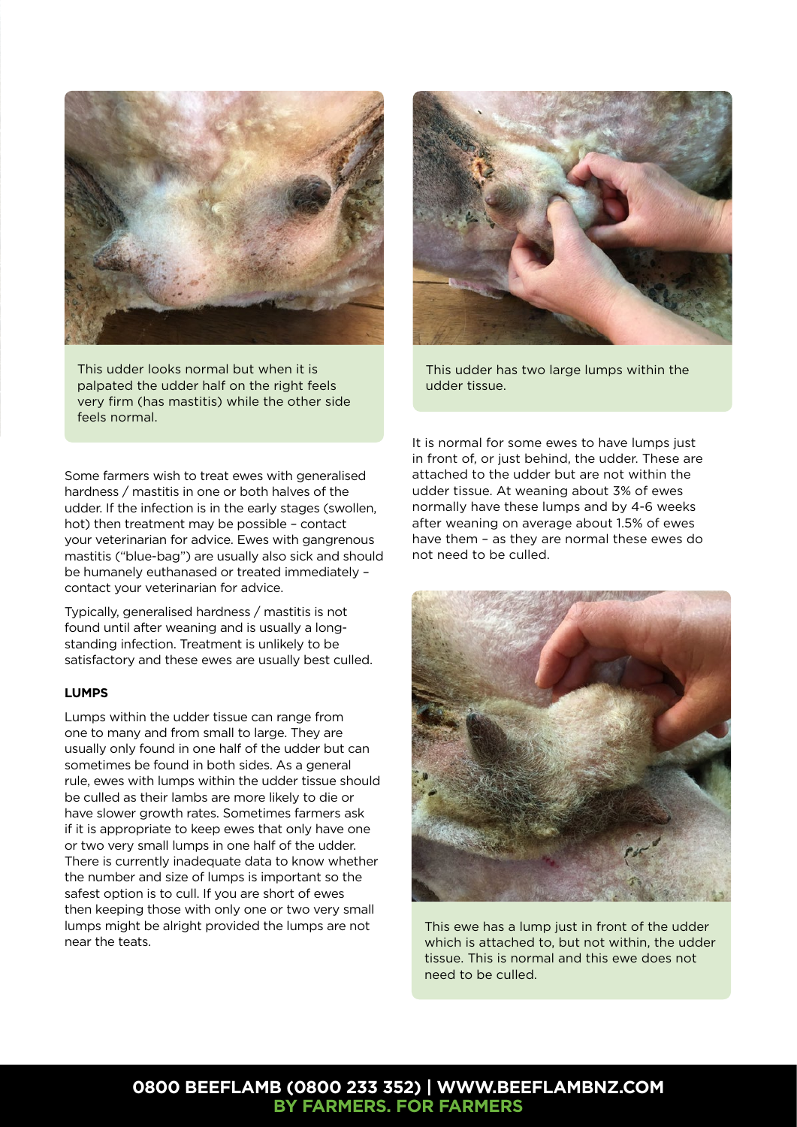

This udder looks normal but when it is palpated the udder half on the right feels very firm (has mastitis) while the other side feels normal.

Some farmers wish to treat ewes with generalised hardness / mastitis in one or both halves of the udder. If the infection is in the early stages (swollen, hot) then treatment may be possible – contact your veterinarian for advice. Ewes with gangrenous mastitis ("blue-bag") are usually also sick and should be humanely euthanased or treated immediately – contact your veterinarian for advice.

Typically, generalised hardness / mastitis is not found until after weaning and is usually a longstanding infection. Treatment is unlikely to be satisfactory and these ewes are usually best culled.

#### **LUMPS**

Lumps within the udder tissue can range from one to many and from small to large. They are usually only found in one half of the udder but can sometimes be found in both sides. As a general rule, ewes with lumps within the udder tissue should be culled as their lambs are more likely to die or have slower growth rates. Sometimes farmers ask if it is appropriate to keep ewes that only have one or two very small lumps in one half of the udder. There is currently inadequate data to know whether the number and size of lumps is important so the safest option is to cull. If you are short of ewes then keeping those with only one or two very small lumps might be alright provided the lumps are not near the teats.



This udder has two large lumps within the udder tissue.

It is normal for some ewes to have lumps just in front of, or just behind, the udder. These are attached to the udder but are not within the udder tissue. At weaning about 3% of ewes normally have these lumps and by 4-6 weeks after weaning on average about 1.5% of ewes have them – as they are normal these ewes do not need to be culled.



This ewe has a lump just in front of the udder which is attached to, but not within, the udder tissue. This is normal and this ewe does not need to be culled.